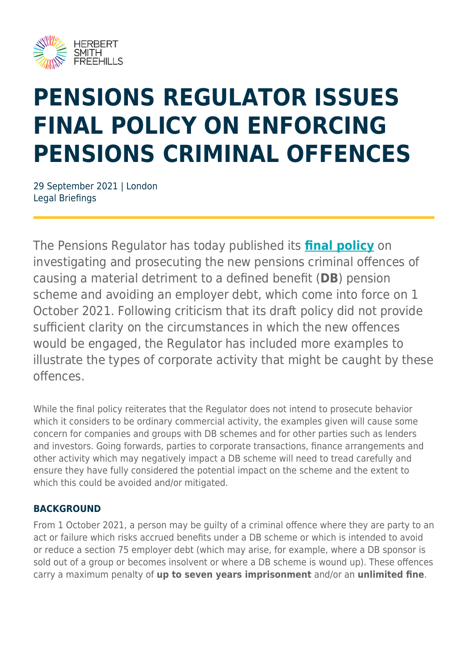

# **PENSIONS REGULATOR ISSUES FINAL POLICY ON ENFORCING PENSIONS CRIMINAL OFFENCES**

29 September 2021 | London Legal Briefings

The Pensions Regulator has today published its **[final policy](https://www.thepensionsregulator.gov.uk/en/document-library/strategy-and-policy/criminal-offences-policy#de23b543a6d14ec4915f7d8f242b6f2d)** on investigating and prosecuting the new pensions criminal offences of causing a material detriment to a defined benefit (**DB**) pension scheme and avoiding an employer debt, which come into force on 1 October 2021. Following criticism that its draft policy did not provide sufficient clarity on the circumstances in which the new offences would be engaged, the Regulator has included more examples to illustrate the types of corporate activity that might be caught by these offences.

While the final policy reiterates that the Regulator does not intend to prosecute behavior which it considers to be ordinary commercial activity, the examples given will cause some concern for companies and groups with DB schemes and for other parties such as lenders and investors. Going forwards, parties to corporate transactions, finance arrangements and other activity which may negatively impact a DB scheme will need to tread carefully and ensure they have fully considered the potential impact on the scheme and the extent to which this could be avoided and/or mitigated.

#### **BACKGROUND**

From 1 October 2021, a person may be guilty of a criminal offence where they are party to an act or failure which risks accrued benefits under a DB scheme or which is intended to avoid or reduce a section 75 employer debt (which may arise, for example, where a DB sponsor is sold out of a group or becomes insolvent or where a DB scheme is wound up). These offences carry a maximum penalty of **up to seven years imprisonment** and/or an **unlimited fine**.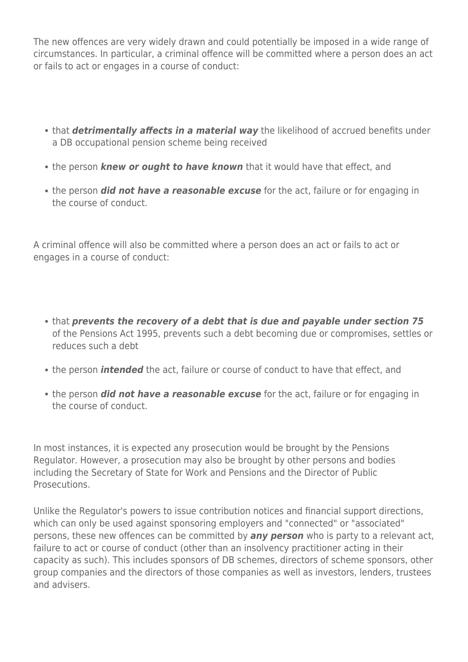The new offences are very widely drawn and could potentially be imposed in a wide range of circumstances. In particular, a criminal offence will be committed where a person does an act or fails to act or engages in a course of conduct:

- that *detrimentally affects in a material way* the likelihood of accrued benefits under a DB occupational pension scheme being received
- the person *knew or ought to have known* that it would have that effect, and
- the person **did not have a reasonable excuse** for the act, failure or for engaging in the course of conduct.

A criminal offence will also be committed where a person does an act or fails to act or engages in a course of conduct:

- that *prevents the recovery of a debt that is due and payable under section 75* of the Pensions Act 1995, prevents such a debt becoming due or compromises, settles or reduces such a debt
- the person *intended* the act, failure or course of conduct to have that effect, and
- the person *did not have a reasonable excuse* for the act, failure or for engaging in the course of conduct.

In most instances, it is expected any prosecution would be brought by the Pensions Regulator. However, a prosecution may also be brought by other persons and bodies including the Secretary of State for Work and Pensions and the Director of Public Prosecutions.

Unlike the Regulator's powers to issue contribution notices and financial support directions, which can only be used against sponsoring employers and "connected" or "associated" persons, these new offences can be committed by *any person* who is party to a relevant act, failure to act or course of conduct (other than an insolvency practitioner acting in their capacity as such). This includes sponsors of DB schemes, directors of scheme sponsors, other group companies and the directors of those companies as well as investors, lenders, trustees and advisers.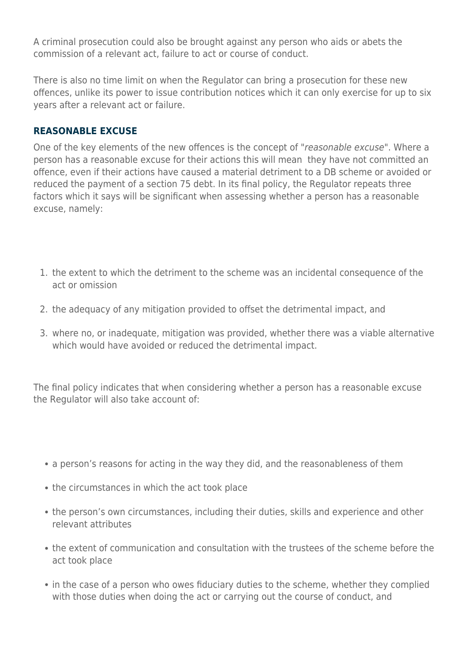A criminal prosecution could also be brought against any person who aids or abets the commission of a relevant act, failure to act or course of conduct.

There is also no time limit on when the Regulator can bring a prosecution for these new offences, unlike its power to issue contribution notices which it can only exercise for up to six years after a relevant act or failure.

#### **REASONABLE EXCUSE**

One of the key elements of the new offences is the concept of "reasonable excuse". Where a person has a reasonable excuse for their actions this will mean they have not committed an offence, even if their actions have caused a material detriment to a DB scheme or avoided or reduced the payment of a section 75 debt. In its final policy, the Regulator repeats three factors which it says will be significant when assessing whether a person has a reasonable excuse, namely:

- 1. the extent to which the detriment to the scheme was an incidental consequence of the act or omission
- 2. the adequacy of any mitigation provided to offset the detrimental impact, and
- 3. where no, or inadequate, mitigation was provided, whether there was a viable alternative which would have avoided or reduced the detrimental impact.

The final policy indicates that when considering whether a person has a reasonable excuse the Regulator will also take account of:

- a person's reasons for acting in the way they did, and the reasonableness of them
- the circumstances in which the act took place
- the person's own circumstances, including their duties, skills and experience and other relevant attributes
- the extent of communication and consultation with the trustees of the scheme before the act took place
- in the case of a person who owes fiduciary duties to the scheme, whether they complied with those duties when doing the act or carrying out the course of conduct, and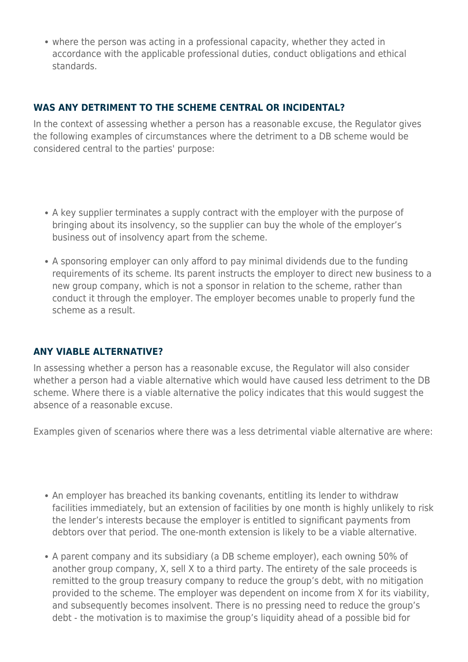• where the person was acting in a professional capacity, whether they acted in accordance with the applicable professional duties, conduct obligations and ethical standards.

#### **WAS ANY DETRIMENT TO THE SCHEME CENTRAL OR INCIDENTAL?**

In the context of assessing whether a person has a reasonable excuse, the Regulator gives the following examples of circumstances where the detriment to a DB scheme would be considered central to the parties' purpose:

- A key supplier terminates a supply contract with the employer with the purpose of bringing about its insolvency, so the supplier can buy the whole of the employer's business out of insolvency apart from the scheme.
- A sponsoring employer can only afford to pay minimal dividends due to the funding requirements of its scheme. Its parent instructs the employer to direct new business to a new group company, which is not a sponsor in relation to the scheme, rather than conduct it through the employer. The employer becomes unable to properly fund the scheme as a result.

#### **ANY VIABLE ALTERNATIVE?**

In assessing whether a person has a reasonable excuse, the Regulator will also consider whether a person had a viable alternative which would have caused less detriment to the DB scheme. Where there is a viable alternative the policy indicates that this would suggest the absence of a reasonable excuse.

Examples given of scenarios where there was a less detrimental viable alternative are where:

- An employer has breached its banking covenants, entitling its lender to withdraw facilities immediately, but an extension of facilities by one month is highly unlikely to risk the lender's interests because the employer is entitled to significant payments from debtors over that period. The one-month extension is likely to be a viable alternative.
- A parent company and its subsidiary (a DB scheme employer), each owning 50% of another group company, X, sell X to a third party. The entirety of the sale proceeds is remitted to the group treasury company to reduce the group's debt, with no mitigation provided to the scheme. The employer was dependent on income from X for its viability, and subsequently becomes insolvent. There is no pressing need to reduce the group's debt - the motivation is to maximise the group's liquidity ahead of a possible bid for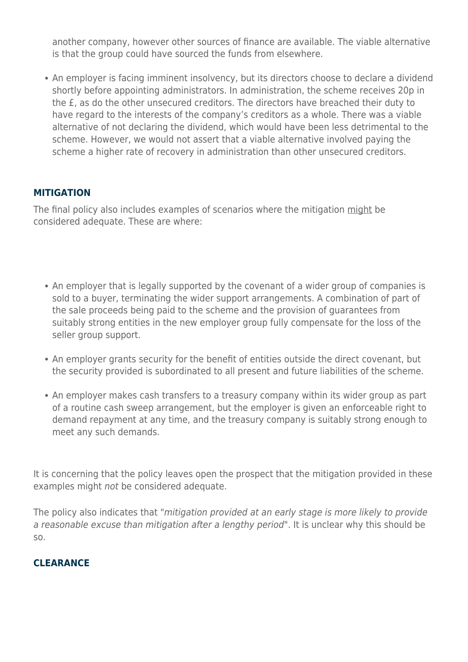another company, however other sources of finance are available. The viable alternative is that the group could have sourced the funds from elsewhere.

• An employer is facing imminent insolvency, but its directors choose to declare a dividend shortly before appointing administrators. In administration, the scheme receives 20p in the £, as do the other unsecured creditors. The directors have breached their duty to have regard to the interests of the company's creditors as a whole. There was a viable alternative of not declaring the dividend, which would have been less detrimental to the scheme. However, we would not assert that a viable alternative involved paying the scheme a higher rate of recovery in administration than other unsecured creditors.

#### **MITIGATION**

The final policy also includes examples of scenarios where the mitigation might be considered adequate. These are where:

- An employer that is legally supported by the covenant of a wider group of companies is sold to a buyer, terminating the wider support arrangements. A combination of part of the sale proceeds being paid to the scheme and the provision of guarantees from suitably strong entities in the new employer group fully compensate for the loss of the seller group support.
- An employer grants security for the benefit of entities outside the direct covenant, but the security provided is subordinated to all present and future liabilities of the scheme.
- An employer makes cash transfers to a treasury company within its wider group as part of a routine cash sweep arrangement, but the employer is given an enforceable right to demand repayment at any time, and the treasury company is suitably strong enough to meet any such demands.

It is concerning that the policy leaves open the prospect that the mitigation provided in these examples might not be considered adequate.

The policy also indicates that "mitigation provided at an early stage is more likely to provide a reasonable excuse than mitigation after a lengthy period". It is unclear why this should be so.

#### **CLEARANCE**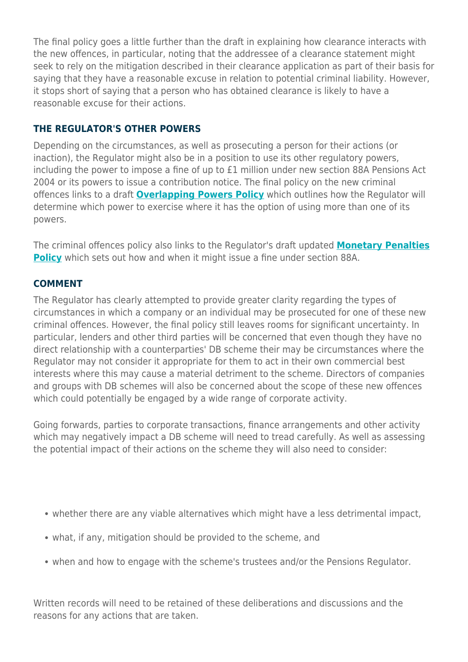The final policy goes a little further than the draft in explaining how clearance interacts with the new offences, in particular, noting that the addressee of a clearance statement might seek to rely on the mitigation described in their clearance application as part of their basis for saying that they have a reasonable excuse in relation to potential criminal liability. However, it stops short of saying that a person who has obtained clearance is likely to have a reasonable excuse for their actions.

#### **THE REGULATOR'S OTHER POWERS**

Depending on the circumstances, as well as prosecuting a person for their actions (or inaction), the Regulator might also be in a position to use its other regulatory powers, including the power to impose a fine of up to £1 million under new section 88A Pensions Act 2004 or its powers to issue a contribution notice. The final policy on the new criminal offences links to a draft **[Overlapping Powers Policy](https://www.thepensionsregulator.gov.uk/en/document-library/consultations/new-enforcement-policies-consultation/proposed-approach-to-our-new-powers)** which outlines how the Regulator will determine which power to exercise where it has the option of using more than one of its powers.

The criminal offences policy also links to the Regulator's draft updated **[Monetary Penalties](https://www.thepensionsregulator.gov.uk/en/document-library/consultations/new-enforcement-policies-consultation/proposed-approach-to-our-new-powers#5e2933f4f4b945db9796fedfbea3a158) [Policy](https://www.thepensionsregulator.gov.uk/en/document-library/consultations/new-enforcement-policies-consultation/proposed-approach-to-our-new-powers#5e2933f4f4b945db9796fedfbea3a158)** which sets out how and when it might issue a fine under section 88A.

#### **COMMENT**

The Regulator has clearly attempted to provide greater clarity regarding the types of circumstances in which a company or an individual may be prosecuted for one of these new criminal offences. However, the final policy still leaves rooms for significant uncertainty. In particular, lenders and other third parties will be concerned that even though they have no direct relationship with a counterparties' DB scheme their may be circumstances where the Regulator may not consider it appropriate for them to act in their own commercial best interests where this may cause a material detriment to the scheme. Directors of companies and groups with DB schemes will also be concerned about the scope of these new offences which could potentially be engaged by a wide range of corporate activity.

Going forwards, parties to corporate transactions, finance arrangements and other activity which may negatively impact a DB scheme will need to tread carefully. As well as assessing the potential impact of their actions on the scheme they will also need to consider:

- whether there are any viable alternatives which might have a less detrimental impact,
- what, if any, mitigation should be provided to the scheme, and
- when and how to engage with the scheme's trustees and/or the Pensions Regulator.

Written records will need to be retained of these deliberations and discussions and the reasons for any actions that are taken.